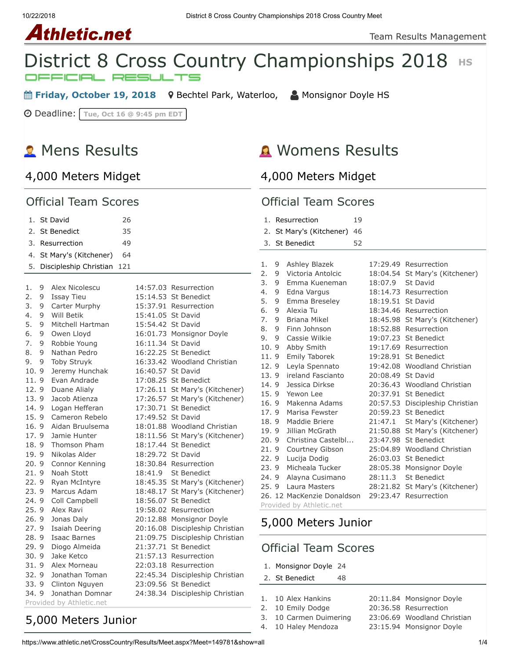10/22/2018 District 8 Cross Country Championships 2018 Cross Country Meet





**■ Friday, October 19, 2018** 9 [Bechtel Park, Waterloo,](https://maps.google.com/maps?saddr=&daddr=Bechtel%20Park,%20185%20Bridge%20St.%20West,%20Waterloo%20N2K%201K8&hl=en) A [Monsignor Doyle HS](https://www.athletic.net/CrossCountry/School.aspx?SchoolID=27459)

Deadline: **Tue, Oct 16 @ 9:45 pm EDT**

# **2** Mens Results

## [4,000 Meters Midget](https://www.athletic.net/CrossCountry/meet/149781/results/621720)

# Womens Results

[4,000 Meters Midget](https://www.athletic.net/CrossCountry/meet/149781/results/621717)

#### Official Team Scores

|          |        | 1. St David                        | 26  |                   |                                               |
|----------|--------|------------------------------------|-----|-------------------|-----------------------------------------------|
|          |        | 2. St Benedict                     | 35  |                   |                                               |
|          |        |                                    |     |                   |                                               |
|          |        | 3. Resurrection                    | 49  |                   |                                               |
|          |        | 4. St Mary's (Kitchener)           | 64  |                   |                                               |
| 5.       |        | Discipleship Christian             | 121 |                   |                                               |
|          |        |                                    |     |                   |                                               |
| 1.<br>2. | 9      | Alex Nicolescu                     |     |                   | 14:57.03 Resurrection                         |
| 3.       | 9      | <b>Issay Tieu</b><br>Carter Murphy |     |                   | 15:14.53 St Benedict<br>15:37.91 Resurrection |
| 4.       | 9<br>9 | Will Betik                         |     | 15:41.05 St David |                                               |
| 5.       | 9      | Mitchell Hartman                   |     | 15:54.42 St David |                                               |
|          |        |                                    |     |                   |                                               |
| 6.<br>7. | 9<br>9 | Owen Lloyd                         |     | 16:11.34 St David | 16:01.73 Monsignor Doyle                      |
|          |        | Robbie Young                       |     |                   |                                               |
| 8.       | 9      | Nathan Pedro                       |     |                   | 16:22.25 St Benedict                          |
| 9.       | 9      | <b>Toby Struyk</b>                 |     |                   | 16:33.42 Woodland Christian                   |
| 10.9     |        | Jeremy Hunchak                     |     | 16:40.57 St David |                                               |
| 11.9     |        | Evan Andrade                       |     |                   | 17:08.25 St Benedict                          |
| 12.9     |        | Duane Alialy                       |     |                   | 17:26.11 St Mary's (Kitchener)                |
| 13.9     |        | Jacob Atienza                      |     |                   | 17:26.57 St Mary's (Kitchener)                |
| 14.9     |        | Logan Hefferan                     |     |                   | 17:30.71 St Benedict                          |
| 15.9     |        | Cameron Rebelo                     |     | 17:49.52 St David |                                               |
| 16.9     |        | Aidan Bruulsema                    |     |                   | 18:01.88 Woodland Christian                   |
| 17.9     |        | Jamie Hunter                       |     |                   | 18:11.56 St Mary's (Kitchener)                |
| 18.9     |        | Thomson Pham                       |     |                   | 18:17.44 St Benedict                          |
| 19.9     |        | Nikolas Alder                      |     | 18:29.72 St David |                                               |
| 20.9     |        | Connor Kenning                     |     |                   | 18:30.84 Resurrection                         |
| 21.9     |        | Noah Stott                         |     | 18:41.9           | <b>St Benedict</b>                            |
| 22.9     |        | Ryan McIntyre                      |     |                   | 18:45.35 St Mary's (Kitchener)                |
| 23.9     |        | Marcus Adam                        |     |                   | 18:48.17 St Mary's (Kitchener)                |
| 24.9     |        | Coll Campbell                      |     |                   | 18:56.07 St Benedict                          |
| 25.9     |        | Alex Ravi                          |     |                   | 19:58.02 Resurrection                         |
| 26.9     |        | Jonas Daly                         |     |                   | 20:12.88 Monsignor Doyle                      |
| 27.9     |        | <b>Isaiah Deering</b>              |     |                   | 20:16.08 Discipleship Christian               |
| 28.9     |        | <b>Isaac Barnes</b>                |     |                   | 21:09.75 Discipleship Christian               |
| 29.9     |        | Diogo Almeida                      |     |                   | 21:37.71 St Benedict                          |
| 30.9     |        | Jake Ketco                         |     |                   | 21:57.13 Resurrection                         |
| 31.9     |        | Alex Morneau                       |     |                   | 22:03.18 Resurrection                         |
| 32.9     |        | Jonathan Toman                     |     |                   | 22:45.34 Discipleship Christian               |
| 33.9     |        | Clinton Nguyen                     |     |                   | 23:09.56 St Benedict                          |
| 34.9     |        | Jonathan Domnar                    |     |                   | 24:38.34 Discipleship Christian               |
|          |        | Provided by Athletic.net           |     |                   |                                               |

#### Official Team Scores

|      |                          | 1. Resurrection            | 19 |                   |                                 |  |  |
|------|--------------------------|----------------------------|----|-------------------|---------------------------------|--|--|
| 2.   |                          | St Mary's (Kitchener)      | 46 |                   |                                 |  |  |
| 3.   |                          | <b>St Benedict</b>         | 52 |                   |                                 |  |  |
|      |                          |                            |    |                   |                                 |  |  |
| 1.   | 9                        | Ashley Blazek              |    |                   | 17:29.49 Resurrection           |  |  |
| 2.   | 9                        | Victoria Antolcic          |    | 18:04.54          | St Mary's (Kitchener)           |  |  |
| 3.   | 9                        | Emma Kueneman              |    | 18:07.9           | St David                        |  |  |
| 4.   | 9                        | Edna Vargus                |    | 18:14.73          | Resurrection                    |  |  |
| 5.   | 9                        | Emma Breseley              |    | 18:19.51          | St David                        |  |  |
| 6.   | 9                        | Alexia Tu                  |    |                   | 18:34.46 Resurrection           |  |  |
| 7.   | 9                        | Briana Mikel               |    | 18:45.98          | St Mary's (Kitchener)           |  |  |
| 8.   | 9                        | Finn Johnson               |    |                   | 18:52.88 Resurrection           |  |  |
| 9.   | 9                        | Cassie Wilkie              |    | 19:07.23          | <b>St Benedict</b>              |  |  |
| 10.9 |                          | Abby Smith                 |    | 19:17.69          | Resurrection                    |  |  |
| 11.9 |                          | Emily Taborek              |    |                   | 19:28.91 St Benedict            |  |  |
| 12.9 |                          | Leyla Spennato             |    |                   | 19:42.08 Woodland Christian     |  |  |
| 13.9 |                          | ireland Fascianto          |    | 20:08.49 St David |                                 |  |  |
| 14.9 |                          | Jessica Dirkse             |    |                   | 20:36.43 Woodland Christian     |  |  |
| 15.9 |                          | Yewon Lee                  |    | 20:37.91          | <b>St Benedict</b>              |  |  |
| 16.9 |                          | Makenna Adams              |    |                   | 20:57.53 Discipleship Christian |  |  |
| 17.9 |                          | Marisa Fewster             |    | 20:59.23          | <b>St Benedict</b>              |  |  |
| 18.9 |                          | Maddie Briere              |    | 21:47.1           | St Mary's (Kitchener)           |  |  |
| 19.9 |                          | Jillian McGrath            |    | 21:50.88          | St Mary's (Kitchener)           |  |  |
| 20.9 |                          | Christina Castelbl         |    | 23:47.98          | <b>St Benedict</b>              |  |  |
| 21.9 |                          | Courtney Gibson            |    | 25:04.89          | Woodland Christian              |  |  |
| 22.9 |                          | Lucija Dodig               |    |                   | 26:03.03 St Benedict            |  |  |
| 23.9 |                          | Micheala Tucker            |    | 28:05.38          | Monsignor Doyle                 |  |  |
| 24.9 |                          | Alayna Cusimano            |    | 28:11.3           | <b>St Benedict</b>              |  |  |
| 25.9 |                          | Laura Masters              |    | 28:21.82          | St Mary's (Kitchener)           |  |  |
|      |                          | 26. 12 MacKenzie Donaldson |    | 29:23.47          | Resurrection                    |  |  |
|      | Drovidad by Athlatic not |                            |    |                   |                                 |  |  |

rovided by Athleti

# [5,000 Meters Junior](https://www.athletic.net/CrossCountry/meet/149781/results/621718)

## Official Team Scores

- 1. [Monsignor Doyle](https://www.athletic.net/CrossCountry/School.aspx?SchoolID=27459) 24
- 2. [St Benedict](https://www.athletic.net/CrossCountry/School.aspx?SchoolID=27484) 48

| 10 Alex Hankins |  |
|-----------------|--|
|-----------------|--|

- 2. 10 Emily Dodge 20:36.58 Resurrection
	-
- 3. 10 Carmen Duimering 23:06.69 Woodland Christian
- 4. 10 Haley Mendoza 23:15.94 Monsignor Doyle

20:11.84 Monsignor Doyle

[5,000 Meters Junior](https://www.athletic.net/CrossCountry/meet/149781/results/621721)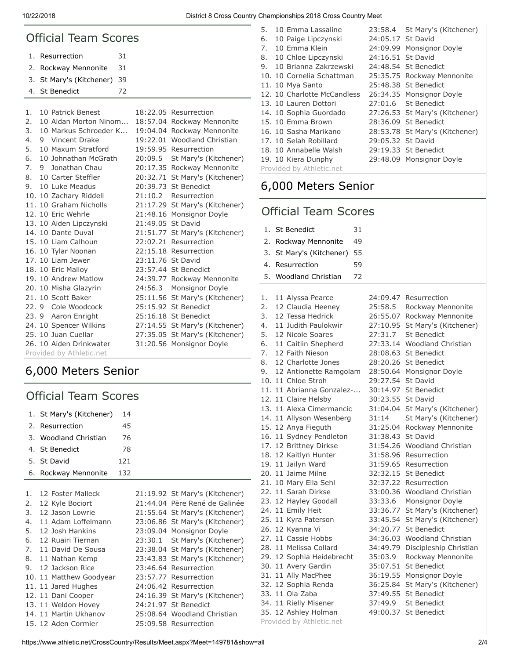10/22/2018 District 8 Cross Country Championships 2018 Cross Country Meet

| <b>Official Team Scores</b> |    |                         |    |                   |                                |  |
|-----------------------------|----|-------------------------|----|-------------------|--------------------------------|--|
| 1.                          |    | Resurrection            | 31 |                   |                                |  |
| 2.                          |    | Rockway Mennonite       | 31 |                   |                                |  |
| 3.                          |    | St Mary's (Kitchener)   | 39 |                   |                                |  |
| 4.                          |    | <b>St Benedict</b>      | 72 |                   |                                |  |
|                             |    |                         |    |                   |                                |  |
| 1.                          |    | 10 Patrick Benest       |    |                   | 18:22.05 Resurrection          |  |
| 2.                          |    | 10 Aidan Morton Ninom   |    |                   | 18:57.04 Rockway Mennonite     |  |
| 3.                          |    | 10 Markus Schroeder K   |    |                   | 19:04.04 Rockway Mennonite     |  |
| 4.                          | 9. | Vincent Drake           |    |                   | 19:22.01 Woodland Christian    |  |
| 5.                          |    | 10 Maxum Stratford      |    |                   | 19:59.95 Resurrection          |  |
| 6.                          |    | 10 Johnathan McGrath    |    | 20:09.5           | St Mary's (Kitchener)          |  |
| 7.                          |    | 9 Jonathan Chau         |    |                   | 20:17.35 Rockway Mennonite     |  |
| 8.                          |    | 10 Carter Steffler      |    |                   | 20:32.71 St Mary's (Kitchener) |  |
| 9.                          |    | 10 Luke Meadus          |    |                   | 20:39.73 St Benedict           |  |
|                             |    | 10. 10 Zachary Riddell  |    | 21:10.2           | Resurrection                   |  |
|                             |    | 11. 10 Graham Nicholls  |    |                   | 21:17.29 St Mary's (Kitchener) |  |
|                             |    | 12. 10 Eric Wehrle      |    |                   | 21:48.16 Monsignor Doyle       |  |
|                             |    | 13. 10 Aiden Lipczynski |    | 21:49.05 St David |                                |  |
|                             |    | 14. 10 Dante Duval      |    |                   | 21:51.77 St Mary's (Kitchener) |  |
|                             |    | 15. 10 Liam Calhoun     |    |                   | 22:02.21 Resurrection          |  |
|                             |    | 16. 10 Tylar Noonan     |    |                   | 22:15.18 Resurrection          |  |
|                             |    | 17. 10 Liam Jewer       |    | 23:11.76 St David |                                |  |
|                             |    | 18. 10 Eric Malloy      |    |                   | 23:57.44 St Benedict           |  |
|                             |    | 19. 10 Andrew Matlow    |    |                   | 24:39.77 Rockway Mennonite     |  |
|                             |    | 20. 10 Misha Glazyrin   |    | 24:56.3           | Monsignor Doyle                |  |
|                             |    | 21. 10 Scott Baker      |    | 25:11.56          | St Mary's (Kitchener)          |  |
|                             |    | 22. 9 Cole Woodcock     |    |                   | 25:15.92 St Benedict           |  |
|                             |    | 23. 9 Aaron Enright     |    |                   | 25:16.18 St Benedict           |  |
|                             |    | 24. 10 Spencer Wilkins  |    |                   | 27:14.55 St Mary's (Kitchener) |  |
|                             |    | 25. 10 Juan Cuellar     |    |                   | 27:35.05 St Mary's (Kitchener) |  |
|                             |    | 26. 10 Aiden Drinkwater |    |                   | 31:20.56 Monsignor Doyle       |  |
| Provided by Athletic.net    |    |                         |    |                   |                                |  |

# [6,000 Meters Senior](https://www.athletic.net/CrossCountry/meet/149781/results/621722)

## Official Team Scores

|    | 1. St Mary's (Kitchener) | 14  |                                |
|----|--------------------------|-----|--------------------------------|
|    | 2. Resurrection          | 45  |                                |
|    | 3. Woodland Christian    | 76  |                                |
|    | 4. St Benedict           | 78  |                                |
|    | 5. St David              | 121 |                                |
|    | 6. Rockway Mennonite     | 132 |                                |
|    |                          |     |                                |
| 1. | 12 Foster Malleck        |     | 21:19.92 St Mary's (Kitchener) |
|    | 2. 12 Kyle Bociort       |     | 21:44.04 Père René de Galinée  |
|    | 3. 12 Jason Lowrie       |     | 21:55.64 St Mary's (Kitchener) |
| 4. | 11 Adam Loffelmann       |     | 23:06.86 St Mary's (Kitchener) |
| 5. | 12 Josh Hankins          |     | 23:09.04 Monsignor Doyle       |
| 6. | 12 Ruairi Tiernan        |     | 23:30.1 St Mary's (Kitchener)  |
|    | 7. 11 David De Sousa     |     | 23:38.04 St Mary's (Kitchener) |
| 8. | 11 Nathan Kemp           |     | 23:43.83 St Mary's (Kitchener) |

- 11. 11 Jared Hughes 24:06.42 Resurrection
- 12. 11 Dani Cooper 24:16.39 St Mary's (Kitchener)
- 13. 11 Weldon Hovey 24:21.97 St Benedict 14. 11 Martin Ukhanov 25:08.64 Woodland Christian
- 15. 12 Aden Cormier 25:09.58 Resurrection

| 5. | 10 Emma Lassaline           |                   | 23:58.4 St Mary's (Kitchener)  |
|----|-----------------------------|-------------------|--------------------------------|
| 6. | 10 Paige Lipczynski         | 24:05.17 St David |                                |
| 7. | 10 Emma Klein               |                   | 24:09.99 Monsignor Doyle       |
|    | 8. 10 Chloe Lipczynski      | 24:16.51 St David |                                |
| 9. | 10 Brianna Zakrzewski       |                   | 24:48.54 St Benedict           |
|    | 10. 10 Cornelia Schattman   |                   | 25:35.75 Rockway Mennonite     |
|    | 11. 10 Mya Santo            |                   | 25:48.38 St Benedict           |
|    | 12. 10 Charlotte McCandless |                   | 26:34.35 Monsignor Doyle       |
|    | 13. 10 Lauren Dottori       |                   | 27:01.6 St Benedict            |
|    | 14. 10 Sophia Guordado      |                   | 27:26.53 St Mary's (Kitchener) |
|    | 15. 10 Emma Brown           |                   | 28:36.09 St Benedict           |
|    | 16. 10 Sasha Marikano       |                   | 28:53.78 St Mary's (Kitchener) |
|    | 17. 10 Selah Robillard      | 29:05.32 St David |                                |
|    | 18. 10 Annabelle Walsh      |                   | 29:19.33 St Benedict           |
|    | 19. 10 Kiera Dunphy         |                   | 29:48.09 Monsignor Doyle       |
|    | Provided by Athletic.net    |                   |                                |

# [6,000 Meters Senior](https://www.athletic.net/CrossCountry/meet/149781/results/621719)

# Official Team Scores

| 1. | St Benedict               | 31 |          |                           |
|----|---------------------------|----|----------|---------------------------|
| 2. | Rockway Mennonite         | 49 |          |                           |
| 3. | St Mary's (Kitchener)     | 55 |          |                           |
| 4. | Resurrection              | 59 |          |                           |
| 5. | <b>Woodland Christian</b> | 72 |          |                           |
|    |                           |    |          |                           |
| 1. | 11 Alyssa Pearce          |    | 24:09.47 | Resurrection              |
| 2. | 12 Claudia Heeney         |    | 25:58.5  | Rockway Mennonite         |
| 3. | 12 Tessa Hedrick          |    | 26:55.07 | Rockway Mennonite         |
| 4. | 11 Judith Paulokwir       |    | 27:10.95 | St Mary's (Kitchener)     |
| 5. | 12 Nicole Soares          |    | 27:31.7  | <b>St Benedict</b>        |
| 6. | 11 Caitlin Shepherd       |    | 27:33.14 | <b>Woodland Christian</b> |
| 7. | 12 Faith Nieson           |    | 28:08.63 | <b>St Benedict</b>        |
| 8. | 12 Charlotte Jones        |    | 28:20.26 | <b>St Benedict</b>        |
| 9. | 12 Antionette Ramgolam    |    | 28:50.64 | Monsignor Doyle           |
|    | 10. 11 Chloe Stroh        |    | 29:27.54 | St David                  |
|    | 11. 11 Abrianna Gonzalez- |    | 30:14.97 | <b>St Benedict</b>        |
|    | 12. 11 Claire Helsby      |    | 30:23.55 | St David                  |
|    | 13. 11 Alexa Cimermancic  |    | 31:04.04 | St Mary's (Kitchener)     |
|    | 14. 11 Allyson Wesenberg  |    | 31:14    | St Mary's (Kitchener)     |
|    | 15. 12 Anya Fieguth       |    | 31:25.04 | Rockway Mennonite         |
|    | 16. 11 Sydney Pendleton   |    | 31:38.43 | St David                  |
|    | 17. 12 Brittney Dirkse    |    | 31:54.26 | <b>Woodland Christian</b> |
|    | 18. 12 Kaitlyn Hunter     |    | 31:58.96 | Resurrection              |
|    | 19. 11 Jailyn Ward        |    | 31:59.65 | Resurrection              |
|    | 20. 11 Jaime Milne        |    | 32:32.15 | <b>St Benedict</b>        |
|    | 21. 10 Mary Ella Sehl     |    | 32:37.22 | Resurrection              |
|    | 22. 11 Sarah Dirkse       |    | 33:00.36 | <b>Woodland Christian</b> |
|    | 23. 12 Hayley Goodall     |    | 33:33.6  | Monsignor Doyle           |
|    | 24. 11 Emily Heit         |    | 33:36.77 | St Mary's (Kitchener)     |
|    | 25. 11 Kyra Paterson      |    | 33:45.54 | St Mary's (Kitchener)     |
|    | 26. 12 Kyanna Vi          |    | 34:20.77 | <b>St Benedict</b>        |
|    | 27. 11 Cassie Hobbs       |    | 34:36.03 | <b>Woodland Christian</b> |
|    | 28. 11 Melissa Collard    |    | 34:49.79 | Discipleship Christian    |
|    | 29. 12 Sophia Heidebrecht |    | 35:03.9  | Rockway Mennonite         |
|    | 30. 11 Avery Gardin       |    | 35:07.51 | <b>St Benedict</b>        |
|    | 31. 11 Ally MacPhee       |    | 36:19.55 | Monsignor Doyle           |
|    | 32. 12 Sophia Renda       |    | 36:25.84 | St Mary's (Kitchener)     |
|    | 33. 11 Ola Zaba           |    | 37:49.55 | <b>St Benedict</b>        |
|    | 34. 11 Rielly Misener     |    | 37:49.9  | <b>St Benedict</b>        |
|    | 35. 12 Ashley Holman      |    |          | 49:00.37 St Benedict      |
|    | Provided by Athletic.net  |    |          |                           |